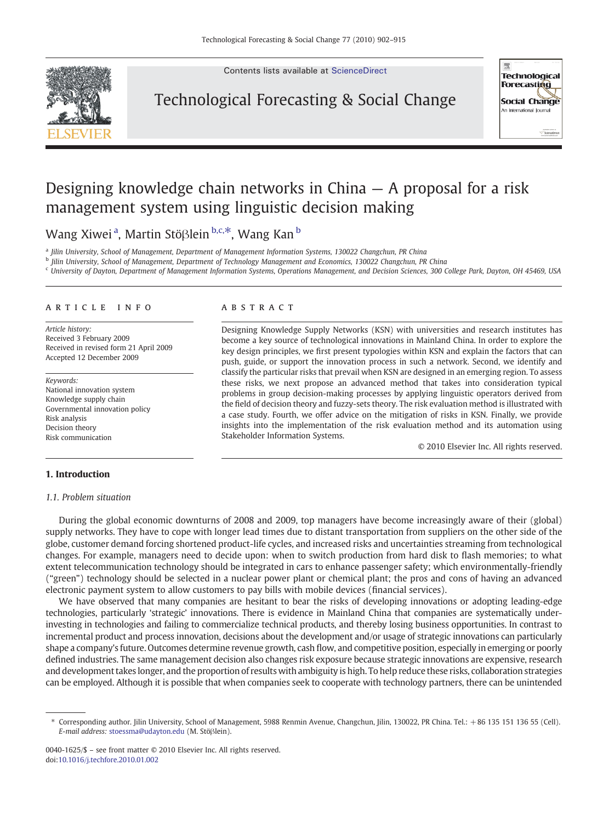Contents lists available at [ScienceDirect](http://www.sciencedirect.com/science/journal/00401625)



Technological Forecasting & Social Change



## Designing knowledge chain networks in China — A proposal for a risk management system using linguistic decision making

Wang Xiweiª, Martin Stöβlein <sup>b,c,∗</sup>, Wang Kan <sup>b</sup>

<sup>a</sup> Jilin University, School of Management, Department of Management Information Systems, 130022 Changchun, PR China

<sup>b</sup> Jilin University, School of Management, Department of Technology Management and Economics, 130022 Changchun, PR China

<sup>c</sup> University of Dayton, Department of Management Information Systems, Operations Management, and Decision Sciences, 300 College Park, Dayton, OH 45469, USA

### article info abstract

Article history: Received 3 February 2009 Received in revised form 21 April 2009 Accepted 12 December 2009

Keywords: National innovation system Knowledge supply chain Governmental innovation policy Risk analysis Decision theory Risk communication

### 1. Introduction

### 1.1. Problem situation

Designing Knowledge Supply Networks (KSN) with universities and research institutes has become a key source of technological innovations in Mainland China. In order to explore the key design principles, we first present typologies within KSN and explain the factors that can push, guide, or support the innovation process in such a network. Second, we identify and classify the particular risks that prevail when KSN are designed in an emerging region. To assess these risks, we next propose an advanced method that takes into consideration typical problems in group decision-making processes by applying linguistic operators derived from the field of decision theory and fuzzy-sets theory. The risk evaluation method is illustrated with a case study. Fourth, we offer advice on the mitigation of risks in KSN. Finally, we provide insights into the implementation of the risk evaluation method and its automation using Stakeholder Information Systems.

© 2010 Elsevier Inc. All rights reserved.

During the global economic downturns of 2008 and 2009, top managers have become increasingly aware of their (global) supply networks. They have to cope with longer lead times due to distant transportation from suppliers on the other side of the globe, customer demand forcing shortened product-life cycles, and increased risks and uncertainties streaming from technological changes. For example, managers need to decide upon: when to switch production from hard disk to flash memories; to what extent telecommunication technology should be integrated in cars to enhance passenger safety; which environmentally-friendly ("green") technology should be selected in a nuclear power plant or chemical plant; the pros and cons of having an advanced electronic payment system to allow customers to pay bills with mobile devices (financial services).

We have observed that many companies are hesitant to bear the risks of developing innovations or adopting leading-edge technologies, particularly 'strategic' innovations. There is evidence in Mainland China that companies are systematically underinvesting in technologies and failing to commercialize technical products, and thereby losing business opportunities. In contrast to incremental product and process innovation, decisions about the development and/or usage of strategic innovations can particularly shape a company's future. Outcomes determine revenue growth, cash flow, and competitive position, especially in emerging or poorly defined industries. The same management decision also changes risk exposure because strategic innovations are expensive, research and development takes longer, and the proportion of results with ambiguity is high. To help reduce these risks, collaboration strategies can be employed. Although it is possible that when companies seek to cooperate with technology partners, there can be unintended

<sup>⁎</sup> Corresponding author. Jilin University, School of Management, 5988 Renmin Avenue, Changchun, Jilin, 130022, PR China. Tel.: +86 135 151 136 55 (Cell). E-mail address: [stoessma@udayton.edu](mailto:stoessma@udayton.edu) (M. Stöβlein).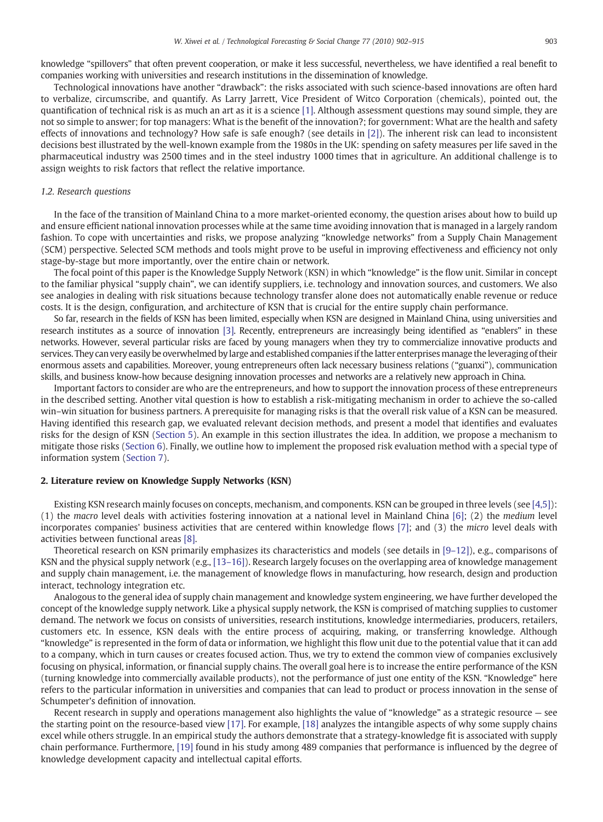knowledge "spillovers" that often prevent cooperation, or make it less successful, nevertheless, we have identified a real benefit to companies working with universities and research institutions in the dissemination of knowledge.

Technological innovations have another "drawback": the risks associated with such science-based innovations are often hard to verbalize, circumscribe, and quantify. As Larry Jarrett, Vice President of Witco Corporation (chemicals), pointed out, the quantification of technical risk is as much an art as it is a science [\[1\].](#page--1-0) Although assessment questions may sound simple, they are not so simple to answer; for top managers: What is the benefit of the innovation?; for government: What are the health and safety effects of innovations and technology? How safe is safe enough? (see details in [\[2\]](#page--1-0)). The inherent risk can lead to inconsistent decisions best illustrated by the well-known example from the 1980s in the UK: spending on safety measures per life saved in the pharmaceutical industry was 2500 times and in the steel industry 1000 times that in agriculture. An additional challenge is to assign weights to risk factors that reflect the relative importance.

### 1.2. Research questions

In the face of the transition of Mainland China to a more market-oriented economy, the question arises about how to build up and ensure efficient national innovation processes while at the same time avoiding innovation that is managed in a largely random fashion. To cope with uncertainties and risks, we propose analyzing "knowledge networks" from a Supply Chain Management (SCM) perspective. Selected SCM methods and tools might prove to be useful in improving effectiveness and efficiency not only stage-by-stage but more importantly, over the entire chain or network.

The focal point of this paper is the Knowledge Supply Network (KSN) in which "knowledge" is the flow unit. Similar in concept to the familiar physical "supply chain", we can identify suppliers, i.e. technology and innovation sources, and customers. We also see analogies in dealing with risk situations because technology transfer alone does not automatically enable revenue or reduce costs. It is the design, configuration, and architecture of KSN that is crucial for the entire supply chain performance.

So far, research in the fields of KSN has been limited, especially when KSN are designed in Mainland China, using universities and research institutes as a source of innovation [\[3\]](#page--1-0). Recently, entrepreneurs are increasingly being identified as "enablers" in these networks. However, several particular risks are faced by young managers when they try to commercialize innovative products and services. They can very easily be overwhelmed by large and established companies if the latter enterprises manage the leveraging of their enormous assets and capabilities. Moreover, young entrepreneurs often lack necessary business relations ("guanxi"), communication skills, and business know-how because designing innovation processes and networks are a relatively new approach in China.

Important factors to consider are who are the entrepreneurs, and how to support the innovation process of these entrepreneurs in the described setting. Another vital question is how to establish a risk-mitigating mechanism in order to achieve the so-called win–win situation for business partners. A prerequisite for managing risks is that the overall risk value of a KSN can be measured. Having identified this research gap, we evaluated relevant decision methods, and present a model that identifies and evaluates risks for the design of KSN ([Section 5](#page--1-0)). An example in this section illustrates the idea. In addition, we propose a mechanism to mitigate those risks [\(Section 6](#page--1-0)). Finally, we outline how to implement the proposed risk evaluation method with a special type of information system ([Section 7](#page--1-0)).

### 2. Literature review on Knowledge Supply Networks (KSN)

Existing KSN research mainly focuses on concepts, mechanism, and components. KSN can be grouped in three levels (see [\[4,5\]\)](#page--1-0): (1) the macro level deals with activities fostering innovation at a national level in Mainland China [\[6\];](#page--1-0) (2) the medium level incorporates companies' business activities that are centered within knowledge flows [\[7\]](#page--1-0); and (3) the micro level deals with activities between functional areas [\[8\]](#page--1-0).

Theoretical research on KSN primarily emphasizes its characteristics and models (see details in [9–[12\]](#page--1-0)), e.g., comparisons of KSN and the physical supply network (e.g., [13–[16\]\)](#page--1-0). Research largely focuses on the overlapping area of knowledge management and supply chain management, i.e. the management of knowledge flows in manufacturing, how research, design and production interact, technology integration etc.

Analogous to the general idea of supply chain management and knowledge system engineering, we have further developed the concept of the knowledge supply network. Like a physical supply network, the KSN is comprised of matching supplies to customer demand. The network we focus on consists of universities, research institutions, knowledge intermediaries, producers, retailers, customers etc. In essence, KSN deals with the entire process of acquiring, making, or transferring knowledge. Although "knowledge" is represented in the form of data or information, we highlight this flow unit due to the potential value that it can add to a company, which in turn causes or creates focused action. Thus, we try to extend the common view of companies exclusively focusing on physical, information, or financial supply chains. The overall goal here is to increase the entire performance of the KSN (turning knowledge into commercially available products), not the performance of just one entity of the KSN. "Knowledge" here refers to the particular information in universities and companies that can lead to product or process innovation in the sense of Schumpeter's definition of innovation.

Recent research in supply and operations management also highlights the value of "knowledge" as a strategic resource — see the starting point on the resource-based view [\[17\].](#page--1-0) For example, [\[18\]](#page--1-0) analyzes the intangible aspects of why some supply chains excel while others struggle. In an empirical study the authors demonstrate that a strategy-knowledge fit is associated with supply chain performance. Furthermore, [\[19\]](#page--1-0) found in his study among 489 companies that performance is influenced by the degree of knowledge development capacity and intellectual capital efforts.